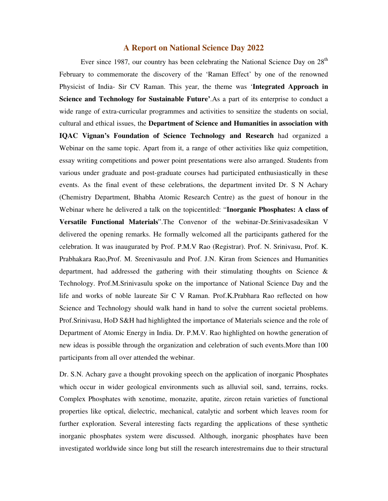## **A Report on National Science Day 2022**

Ever since 1987, our country has been celebrating the National Science Day on 28<sup>th</sup> February to commemorate the discovery of the 'Raman Effect' by one of the renowned Physicist of India- Sir CV Raman. This year, the theme was '**Integrated Approach in Science and Technology for Sustainable Future'**.As a part of its enterprise to conduct a wide range of extra-curricular programmes and activities to sensitize the students on social, cultural and ethical issues, the **Department of Science and Humanities in association with IQAC Vignan's Foundation of Science Technology and Research** had organized a Webinar on the same topic. Apart from it, a range of other activities like quiz competition, essay writing competitions and power point presentations were also arranged. Students from various under graduate and post-graduate courses had participated enthusiastically in these events. As the final event of these celebrations, the department invited Dr. S N Achary (Chemistry Department, Bhabha Atomic Research Centre) as the guest of honour in the Webinar where he delivered a talk on the topicentitled: "**Inorganic Phosphates: A class of Versatile Functional Materials**".The Convenor of the webinar-Dr.Srinivasadesikan V delivered the opening remarks. He formally welcomed all the participants gathered for the celebration. It was inaugurated by Prof. P.M.V Rao (Registrar). Prof. N. Srinivasu, Prof. K. Prabhakara Rao,Prof. M. Sreenivasulu and Prof. J.N. Kiran from Sciences and Humanities department, had addressed the gathering with their stimulating thoughts on Science & Technology. Prof.M.Srinivasulu spoke on the importance of National Science Day and the life and works of noble laureate Sir C V Raman. Prof.K.Prabhara Rao reflected on how Science and Technology should walk hand in hand to solve the current societal problems. Prof.Srinivasu, HoD S&H had highlighted the importance of Materials science and the role of Department of Atomic Energy in India. Dr. P.M.V. Rao highlighted on howthe generation of new ideas is possible through the organization and celebration of such events.More than 100 participants from all over attended the webinar.

Dr. S.N. Achary gave a thought provoking speech on the application of inorganic Phosphates which occur in wider geological environments such as alluvial soil, sand, terrains, rocks. Complex Phosphates with xenotime, monazite, apatite, zircon retain varieties of functional properties like optical, dielectric, mechanical, catalytic and sorbent which leaves room for further exploration. Several interesting facts regarding the applications of these synthetic inorganic phosphates system were discussed. Although, inorganic phosphates have been investigated worldwide since long but still the research interestremains due to their structural